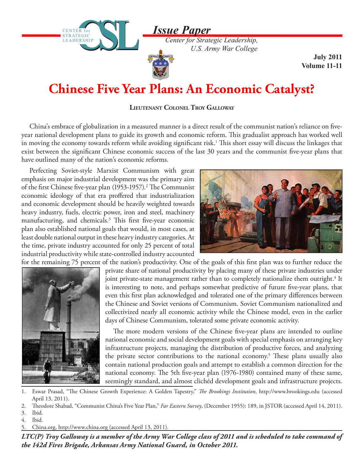*Issue Paper*

*Center for Strategic Leadership, U.S. Army War College*

## **Chinese Five Year Plans: An Economic Catalyst?**

**Lieutenant Colonel Troy Galloway**

China's embrace of globalization in a measured manner is a direct result of the communist nation's reliance on fiveyear national development plans to guide its growth and economic reform. This gradualist approach has worked well in moving the economy towards reform while avoiding significant risk.<sup>1</sup> This short essay will discuss the linkages that exist between the significant Chinese economic success of the last 30 years and the communist five-year plans that have outlined many of the nation's economic reforms.

Perfecting Soviet-style Marxist Communism with great emphasis on major industrial development was the primary aim of the first Chinese five-year plan (1953-1957).<sup>2</sup> The Communist economic ideology of that era proffered that industrialization and economic development should be heavily weighted towards heavy industry, fuels, electric power, iron and steel, machinery manufacturing, and chemicals.<sup>3</sup> This first five-year economic plan also established national goals that would, in most cases, at least double national output in these heavy industry categories. At the time, private industry accounted for only 25 percent of total industrial productivity while state-controlled industry accounted

CENTER for STRATEGIC LEADERSHIP

**STRATEGIC** LEADERSHIP



**July 2011 Volume 11-11**

for the remaining 75 percent of the nation's productivity. One of the goals of this first plan was to further reduce the



private share of national productivity by placing many of these private industries under joint private-state management rather than to completely nationalize them outright.<sup>4</sup> It is interesting to note, and perhaps somewhat predictive of future five-year plans, that even this first plan acknowledged and tolerated one of the primary differences between the Chinese and Soviet versions of Communism. Soviet Communism nationalized and collectivized nearly all economic activity while the Chinese model, even in the earlier days of Chinese Communism, tolerated some private economic activity.

The more modern versions of the Chinese five-year plans are intended to outline national economic and social development goals with special emphasis on arranging key infrastructure projects, managing the distribution of productive forces, and analyzing the private sector contributions to the national economy.<sup>5</sup> These plans usually also contain national production goals and attempt to establish a common direction for the national economy. The 5th five-year plan (1976-1980) contained many of these same, seemingly standard, and almost clichéd development goals and infrastructure projects.

- 1. Eswar Prasad, "The Chinese Growth Experience: A Golden Tapestry," *The Brookings Institution*, http://www.brookings.edu (accessed April 13, 2011).
- 2. Theodore Shabad, "Communist China's Five Year Plan," *Far Eastern Survey*, (December 1955): 189, in JSTOR (accessed April 14, 2011).
- 3. Ibid. 4. Ibid.
- 5. China.org, http://www.china.org (accessed April 13, 2011).

*LTC(P) Troy Galloway is a member of the Army War College class of 2011 and is scheduled to take command of the 142d Fires Brigade, Arkansas Army National Guard, in October 2011.*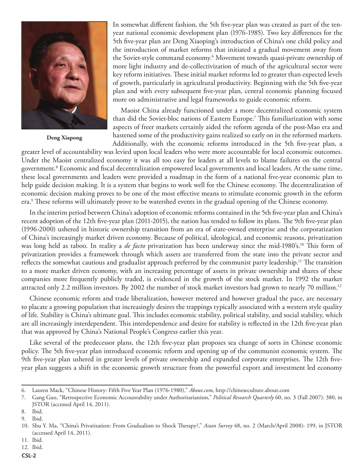

**Deng Xiapong**

In somewhat different fashion, the 5th five-year plan was created as part of the tenyear national economic development plan (1976-1985). Two key differences for the 5th five-year plan are Deng Xiaoping's introduction of China's one child policy and the introduction of market reforms that initiated a gradual movement away from the Soviet-style command economy.6 Movement towards quasi-private ownership of more light industry and de-collectivization of much of the agricultural sector were key reform initiatives. These initial market reforms led to greater than expected levels of growth, particularly in agricultural productivity. Beginning with the 5th five-year plan and with every subsequent five-year plan, central economic planning focused more on administrative and legal frameworks to guide economic reform.

Maoist China already functioned under a more decentralized economic system than did the Soviet-bloc nations of Eastern Europe.7 This familiarization with some aspects of freer markets certainly aided the reform agenda of the post-Mao era and hastened some of the productivity gains realized so early on in the reformed markets. Additionally, with the economic reforms introduced in the 5th five-year plan, a

greater level of accountability was levied upon local leaders who were more accountable for local economic outcomes. Under the Maoist centralized economy it was all too easy for leaders at all levels to blame failures on the central government.8 Economic and fiscal decentralization empowered local governments and local leaders. At the same time, these local governments and leaders were provided a roadmap in the form of a national five-year economic plan to help guide decision making. It is a system that begins to work well for the Chinese economy. The decentralization of economic decision making proves to be one of the most effective means to stimulate economic growth in the reform era.9 These reforms will ultimately prove to be watershed events in the gradual opening of the Chinese economy.

In the interim period between China's adoption of economic reforms contained in the 5th five-year plan and China's recent adoption of the 12th five-year plan (2011-2015), the nation has tended to follow its plans. The 9th five-year plan (1996-2000) ushered in historic ownership transition from an era of state-owned enterprise and the corporatization of China's increasingly market driven economy. Because of political, ideological, and economic reasons, privatization was long held as taboo. In reality a *de facto* privatization has been underway since the mid-1980's.<sup>10</sup> This form of privatization provides a framework through which assets are transferred from the state into the private sector and reflects the somewhat cautious and gradualist approach preferred by the communist party leadership.<sup>11</sup> The transition to a more market driven economy, with an increasing percentage of assets in private ownership and shares of these companies more frequently publicly traded, is evidenced in the growth of the stock market. In 1992 the market attracted only 2.2 million investors. By 2002 the number of stock market investors had grown to nearly 70 million.<sup>12</sup>

Chinese economic reform and trade liberalization, however metered and however gradual the pace, are necessary to placate a growing population that increasingly desires the trappings typically associated with a western style quality of life. Stability is China's ultimate goal. This includes economic stability, political stability, and social stability, which are all increasingly interdependent. This interdependence and desire for stability is reflected in the 12th five-year plan that was approved by China's National People's Congress earlier this year.

Like several of the predecessor plans, the 12th five-year plan proposes sea change of sorts in Chinese economic policy. The 5th five-year plan introduced economic reform and opening up of the communist economic system. The 9th five-year plan ushered in greater levels of private ownership and expanded corporate enterprises. The 12th fiveyear plan suggests a shift in the economic growth structure from the powerful export and investment led economy

<sup>6.</sup> Lauren Mack, "Chinese History: Fifth Five Year Plan (1976-1980)," *About.com*, http://chineseculture.about.com

<sup>7.</sup> Gang Guo, "Retrospective Economic Accountability under Authoritarianism," *Political Research Quarterly* 60, no. 3 (Fall 2007): 380, in JSTOR (accessed April 14, 2011).

<sup>8.</sup> Ibid.

<sup>9.</sup> Ibid.

<sup>10.</sup> Shu Y. Ma, "China's Privatization: From Gradualism to Shock Therapy?," *Asian Survey* 48, no. 2 (March/April 2008): 199, in JSTOR (accessed April 14, 2011).

<sup>11.</sup> Ibid.

<sup>12.</sup> Ibid.